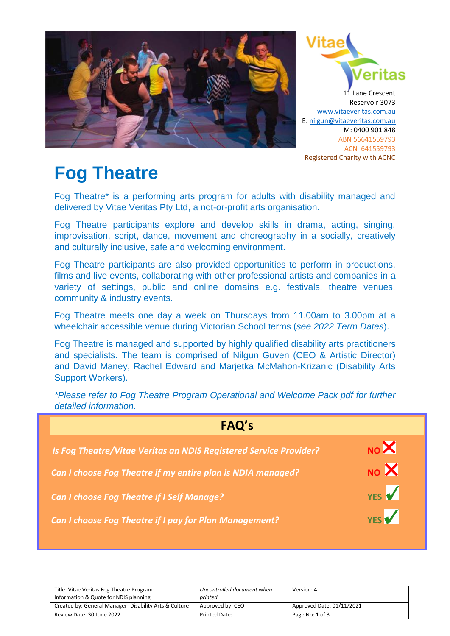



# **Fog Theatre**

Fog Theatre\* is a performing arts program for adults with disability managed and delivered by Vitae Veritas Pty Ltd, a not-or-profit arts organisation.

Fog Theatre participants explore and develop skills in drama, acting, singing, improvisation, script, dance, movement and choreography in a socially, creatively and culturally inclusive, safe and welcoming environment.

Fog Theatre participants are also provided opportunities to perform in productions, films and live events, collaborating with other professional artists and companies in a variety of settings, public and online domains e.g. festivals, theatre venues, community & industry events.

Fog Theatre meets one day a week on Thursdays from 11.00am to 3.00pm at a wheelchair accessible venue during Victorian School terms (*see 2022 Term Dates*).

Fog Theatre is managed and supported by highly qualified disability arts practitioners and specialists. The team is comprised of Nilgun Guven (CEO & Artistic Director) and David Maney, Rachel Edward and Marjetka McMahon-Krizanic (Disability Arts Support Workers).

| FAQ's                                                             |                         |  |
|-------------------------------------------------------------------|-------------------------|--|
| Is Fog Theatre/Vitae Veritas an NDIS Registered Service Provider? | NOX                     |  |
| Can I choose Fog Theatre if my entire plan is NDIA managed?       | $_{\text{NO}}$ $\times$ |  |
| <b>Can I choose Fog Theatre if I Self Manage?</b>                 | YES V                   |  |
| <b>Can I choose Fog Theatre if I pay for Plan Management?</b>     | <b>YES</b>              |  |

*\*Please refer to Fog Theatre Program Operational and Welcome Pack pdf for further detailed information.*

| Title: Vitae Veritas Fog Theatre Program-<br>Information & Quote for NDIS planning | Uncontrolled document when<br>printed | Version: 4                |
|------------------------------------------------------------------------------------|---------------------------------------|---------------------------|
| Created by: General Manager- Disability Arts & Culture                             | Approved by: CEO                      | Approved Date: 01/11/2021 |
| Review Date: 30 June 2022                                                          | <b>Printed Date:</b>                  | Page No: 1 of 3           |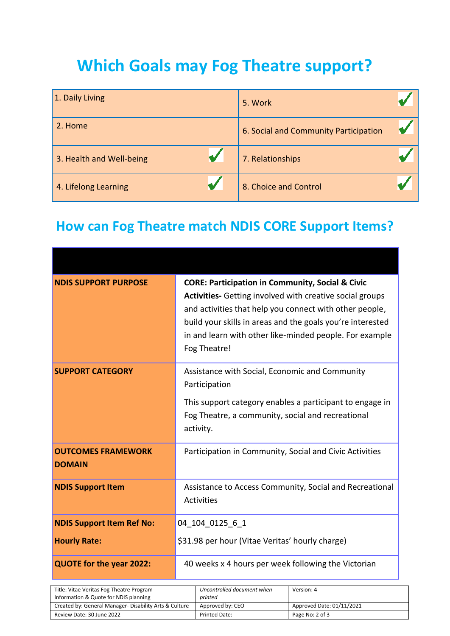## **Which Goals may Fog Theatre support?**

| 1. Daily Living          | 5. Work                               |  |
|--------------------------|---------------------------------------|--|
| 2. Home                  | 6. Social and Community Participation |  |
| 3. Health and Well-being | 7. Relationships                      |  |
| 4. Lifelong Learning     | 8. Choice and Control                 |  |

## **How can Fog Theatre match NDIS CORE Support Items?**

| <b>NDIS SUPPORT PURPOSE</b>                | <b>CORE: Participation in Community, Social &amp; Civic</b><br>Activities- Getting involved with creative social groups<br>and activities that help you connect with other people,<br>build your skills in areas and the goals you're interested<br>in and learn with other like-minded people. For example<br>Fog Theatre! |
|--------------------------------------------|-----------------------------------------------------------------------------------------------------------------------------------------------------------------------------------------------------------------------------------------------------------------------------------------------------------------------------|
| <b>SUPPORT CATEGORY</b>                    | Assistance with Social, Economic and Community<br>Participation<br>This support category enables a participant to engage in<br>Fog Theatre, a community, social and recreational<br>activity.                                                                                                                               |
| <b>OUTCOMES FRAMEWORK</b><br><b>DOMAIN</b> | Participation in Community, Social and Civic Activities                                                                                                                                                                                                                                                                     |
| <b>NDIS Support Item</b>                   | Assistance to Access Community, Social and Recreational<br><b>Activities</b>                                                                                                                                                                                                                                                |
| <b>NDIS Support Item Ref No:</b>           | 04 104 0125 6 1                                                                                                                                                                                                                                                                                                             |
| <b>Hourly Rate:</b>                        | \$31.98 per hour (Vitae Veritas' hourly charge)                                                                                                                                                                                                                                                                             |
| <b>QUOTE for the year 2022:</b>            | 40 weeks x 4 hours per week following the Victorian                                                                                                                                                                                                                                                                         |

| Title: Vitae Veritas Fog Theatre Program-<br>Information & Quote for NDIS planning | Uncontrolled document when<br>printed | Version: 4                |
|------------------------------------------------------------------------------------|---------------------------------------|---------------------------|
| Created by: General Manager- Disability Arts & Culture                             | Approved by: CEO                      | Approved Date: 01/11/2021 |
| Review Date: 30 June 2022                                                          | <b>Printed Date:</b>                  | Page No: 2 of 3           |